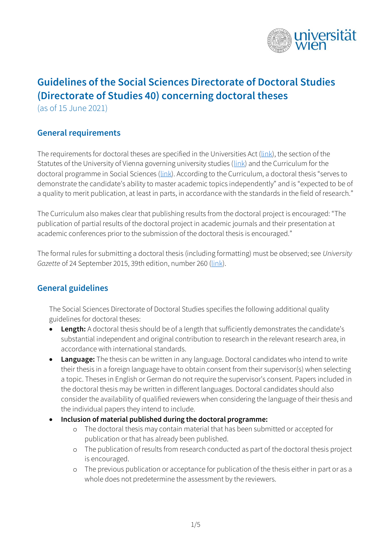

# **Guidelines of the Social Sciences Directorate of Doctoral Studies (Directorate of Studies 40) concerning doctoral theses**

(as of 15 June 2021)

### **General requirements**

The requirements for doctoral theses are specified in the Universities Act [\(link\)](https://www.ris.bka.gv.at/Dokumente/Erv/ERV_2002_1_120/ERV_2002_1_120.html), the section of the Statutes of the University of Vienna governing university studies [\(link\)](https://satzung.univie.ac.at/en/study-law/) and the Curriculum for the doctoral programme in Social Sciences [\(link](https://doktorat.univie.ac.at/fileadmin/user_upload/z_doktorat/Dokumente/Zulassung/Englisch/19_Curr_DR_Sozialwissenschaften_f2_Lesung_EN.pdf)). According to the Curriculum, a doctoral thesis "serves to demonstrate the candidate's ability to master academic topics independently" and is "expected to be of a quality to merit publication, at least in parts, in accordance with the standards in the field of research."

The Curriculum also makes clear that publishing results from the doctoral project is encouraged: "The publication of partial results of the doctoral project in academic journals and their presentation at academic conferences prior to the submission of the doctoral thesis is encouraged."

The formal rules for submitting a doctoral thesis (including formatting) must be observed; see *University Gazette* of 24 September 2015, 39th edition, number 260 [\(link\)](https://mtbl.univie.ac.at/storage/media/mtbl02/2014_2015/2014_2015_260.pdf).

#### **General guidelines**

The Social Sciences Directorate of Doctoral Studies specifies the following additional quality guidelines for doctoral theses:

- **Length:** A doctoral thesis should be of a length that sufficiently demonstrates the candidate's substantial independent and original contribution to research in the relevant research area, in accordance with international standards.
- **Language:** The thesis can be written in any language. Doctoral candidates who intend to write their thesis in a foreign language have to obtain consent from their supervisor(s) when selecting a topic. Theses in English or German do not require the supervisor's consent. Papers included in the doctoral thesis may be written in different languages. Doctoral candidates should also consider the availability of qualified reviewers when considering the language of their thesis and the individual papers they intend to include.
- **Inclusion of material published during the doctoral programme:** 
	- o The doctoral thesis may contain material that has been submitted or accepted for publication or that has already been published.
	- o The publication of results from research conducted as part of the doctoral thesis project is encouraged.
	- o The previous publication or acceptance for publication of the thesis either in part or as a whole does not predetermine the assessment by the reviewers.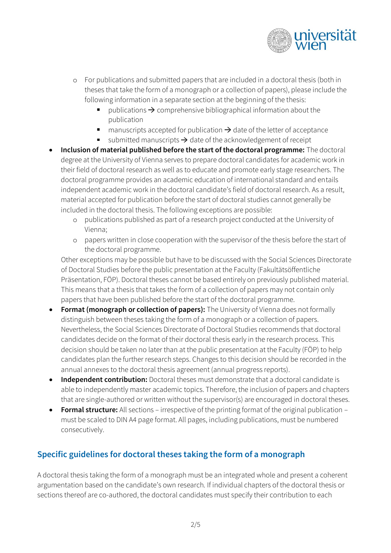

- o For publications and submitted papers that are included in a doctoral thesis (both in theses that take the form of a monograph or a collection of papers), please include the following information in a separate section at the beginning of the thesis:
	- publications  $\rightarrow$  comprehensive bibliographical information about the publication
	- $\blacksquare$ manuscripts accepted for publication  $\rightarrow$  date of the letter of acceptance
	- submitted manuscripts  $\rightarrow$  date of the acknowledgement of receipt
- **Inclusion of material published before the start of the doctoral programme:** The doctoral degree at the University of Vienna serves to prepare doctoral candidates for academic work in their field of doctoral research as well as to educate and promote early stage researchers. The doctoral programme provides an academic education of international standard and entails independent academic work in the doctoral candidate's field of doctoral research. As a result, material accepted for publication before the start of doctoral studies cannot generally be included in the doctoral thesis. The following exceptions are possible:
	- o publications published as part of a research project conducted at the University of Vienna;
	- o papers written in close cooperation with the supervisor of the thesis before the start of the doctoral programme.

Other exceptions may be possible but have to be discussed with the Social Sciences Directorate of Doctoral Studies before the public presentation at the Faculty (Fakultätsöffentliche Präsentation, FÖP). Doctoral theses cannot be based entirely on previously published material. This means that a thesis that takes the form of a collection of papers may not contain only papers that have been published before the start of the doctoral programme.

- **Format (monograph or collection of papers):** The University of Vienna does not formally distinguish between theses taking the form of a monograph or a collection of papers. Nevertheless, the Social Sciences Directorate of Doctoral Studies recommends that doctoral candidates decide on the format of their doctoral thesis early in the research process. This decision should be taken no later than at the public presentation at the Faculty (FÖP) to help candidates plan the further research steps. Changes to this decision should be recorded in the annual annexes to the doctoral thesis agreement (annual progress reports).
- **Independent contribution:** Doctoral theses must demonstrate that a doctoral candidate is able to independently master academic topics. Therefore, the inclusion of papers and chapters that are single-authored or written without the supervisor(s) are encouraged in doctoral theses.
- **Formal structure:** All sections irrespective of the printing format of the original publication must be scaled to DIN A4 page format. All pages, including publications, must be numbered consecutively.

# **Specific guidelines for doctoral theses taking the form of a monograph**

A doctoral thesis taking the form of a monograph must be an integrated whole and present a coherent argumentation based on the candidate's own research. If individual chapters of the doctoral thesis or sections thereof are co-authored, the doctoral candidates must specify their contribution to each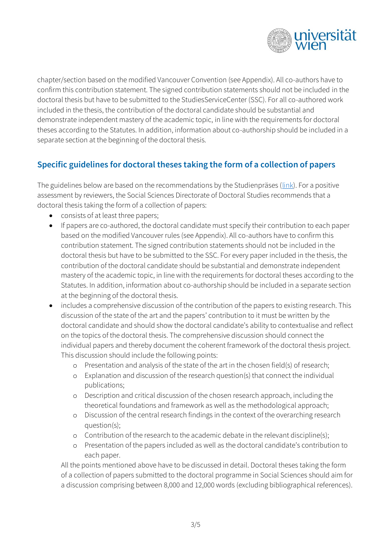

chapter/section based on the modified Vancouver Convention (see Appendix). All co-authors have to confirm this contribution statement. The signed contribution statements should not be included in the doctoral thesis but have to be submitted to the StudiesServiceCenter (SSC). For all co-authored work included in the thesis, the contribution of the doctoral candidate should be substantial and demonstrate independent mastery of the academic topic, in line with the requirements for doctoral theses according to the Statutes. In addition, information about co-authorship should be included in a separate section at the beginning of the doctoral thesis.

## **Specific guidelines for doctoral theses taking the form of a collection of papers**

The guidelines below are based on the recommendations by the Studienpräses [\(link\)](https://studienpraeses.univie.ac.at/fileadmin/user_upload/p_studienpraeses/Studienpraeses_Neu/Info-Blätter/Infoblatt_Leitfaden_kumulative_Dissertationen_EN_011015.pdf). For a positive assessment by reviewers, the Social Sciences Directorate of Doctoral Studies recommends that a doctoral thesis taking the form of a collection of papers:

- consists of at least three papers;
- If papers are co-authored, the doctoral candidate must specify their contribution to each paper based on the modified Vancouver rules (see Appendix). All co-authors have to confirm this contribution statement. The signed contribution statements should not be included in the doctoral thesis but have to be submitted to the SSC. For every paper included in the thesis, the contribution of the doctoral candidate should be substantial and demonstrate independent mastery of the academic topic, in line with the requirements for doctoral theses according to the Statutes. In addition, information about co-authorship should be included in a separate section at the beginning of the doctoral thesis.
- includes a comprehensive discussion of the contribution of the papers to existing research. This discussion of the state of the art and the papers' contribution to it must be written by the doctoral candidate and should show the doctoral candidate's ability to contextualise and reflect on the topics of the doctoral thesis. The comprehensive discussion should connect the individual papers and thereby document the coherent framework of the doctoral thesis project. This discussion should include the following points:
	- o Presentation and analysis of the state of the art in the chosen field(s) of research;
	- o Explanation and discussion of the research question(s) that connect the individual publications;
	- o Description and critical discussion of the chosen research approach, including the theoretical foundations and framework as well as the methodological approach;
	- o Discussion of the central research findings in the context of the overarching research question(s);
	- o Contribution of the research to the academic debate in the relevant discipline(s);
	- o Presentation of the papers included as well as the doctoral candidate's contribution to each paper.

All the points mentioned above have to be discussed in detail. Doctoral theses taking the form of a collection of papers submitted to the doctoral programme in Social Sciences should aim for a discussion comprising between 8,000 and 12,000 words (excluding bibliographical references).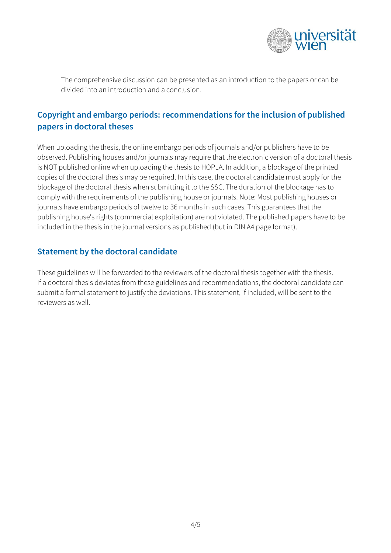

The comprehensive discussion can be presented as an introduction to the papers or can be divided into an introduction and a conclusion.

# **Copyright and embargo periods: recommendations for the inclusion of published papers in doctoral theses**

When uploading the thesis, the online embargo periods of journals and/or publishers have to be observed. Publishing houses and/or journals may require that the electronic version of a doctoral thesis is NOT published online when uploading the thesis to HOPLA. In addition, a blockage of the printed copies of the doctoral thesis may be required. In this case, the doctoral candidate must apply for the blockage of the doctoral thesis when submitting it to the SSC. The duration of the blockage has to comply with the requirements of the publishing house or journals. Note: Most publishing houses or journals have embargo periods of twelve to 36 months in such cases. This guarantees that the publishing house's rights (commercial exploitation) are not violated. The published papers have to be included in the thesis in the journal versions as published (but in DIN A4 page format).

### **Statement by the doctoral candidate**

These guidelines will be forwarded to the reviewers of the doctoral thesis together with the thesis. If a doctoral thesis deviates from these guidelines and recommendations, the doctoral candidate can submit a formal statement to justify the deviations. This statement, if included, will be sent to the reviewers as well.